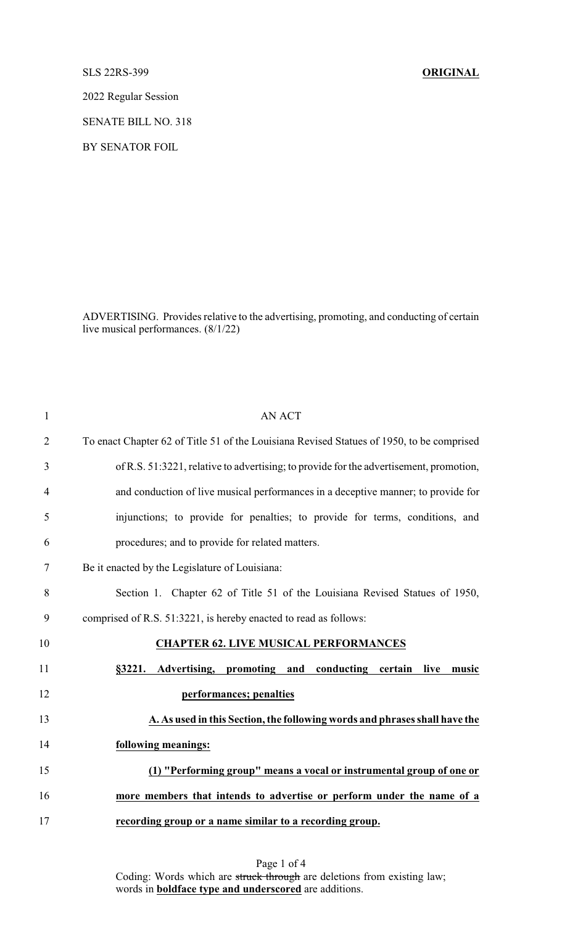SLS 22RS-399 **ORIGINAL**

2022 Regular Session

SENATE BILL NO. 318

BY SENATOR FOIL

ADVERTISING. Provides relative to the advertising, promoting, and conducting of certain live musical performances. (8/1/22)

| $\mathbf{1}$   | <b>AN ACT</b>                                                                             |
|----------------|-------------------------------------------------------------------------------------------|
| $\overline{2}$ | To enact Chapter 62 of Title 51 of the Louisiana Revised Statues of 1950, to be comprised |
| 3              | of R.S. 51:3221, relative to advertising; to provide for the advertisement, promotion,    |
| $\overline{4}$ | and conduction of live musical performances in a deceptive manner; to provide for         |
| 5              | injunctions; to provide for penalties; to provide for terms, conditions, and              |
| 6              | procedures; and to provide for related matters.                                           |
| 7              | Be it enacted by the Legislature of Louisiana:                                            |
| 8              | Section 1. Chapter 62 of Title 51 of the Louisiana Revised Statues of 1950,               |
| 9              | comprised of R.S. 51:3221, is hereby enacted to read as follows:                          |
| 10             | <b>CHAPTER 62. LIVE MUSICAL PERFORMANCES</b>                                              |
| 11             | Advertising, promoting and conducting certain<br>§3221.<br>live<br>music                  |
| 12             | performances; penalties                                                                   |
| 13             | A. As used in this Section, the following words and phrases shall have the                |
| 14             | following meanings:                                                                       |
| 15             | (1) "Performing group" means a vocal or instrumental group of one or                      |
| 16             | more members that intends to advertise or perform under the name of a                     |
| 17             | recording group or a name similar to a recording group.                                   |

Page 1 of 4 Coding: Words which are struck through are deletions from existing law; words in **boldface type and underscored** are additions.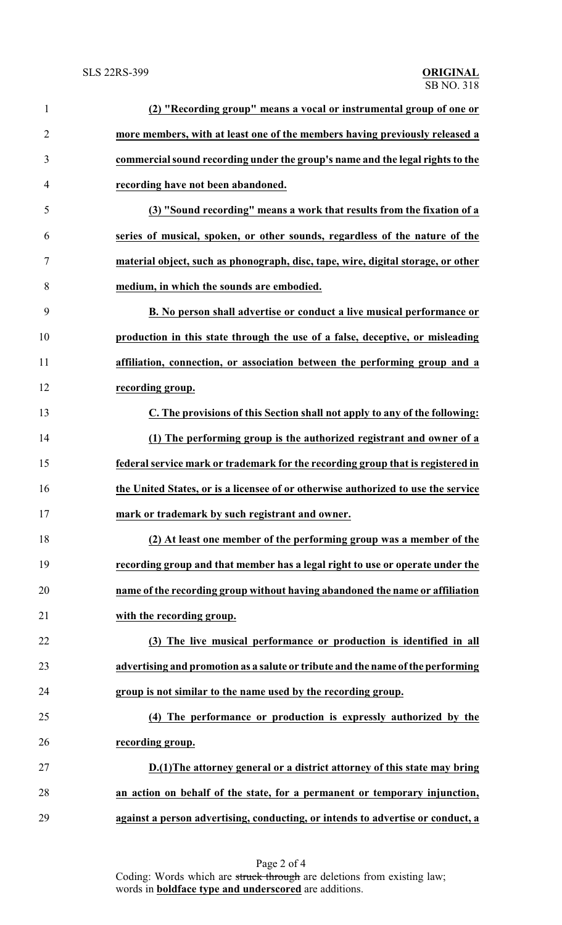| $\mathbf{1}$   | (2) "Recording group" means a vocal or instrumental group of one or               |
|----------------|-----------------------------------------------------------------------------------|
| $\overline{2}$ | more members, with at least one of the members having previously released a       |
| 3              | commercial sound recording under the group's name and the legal rights to the     |
| $\overline{4}$ | recording have not been abandoned.                                                |
| 5              | (3) "Sound recording" means a work that results from the fixation of a            |
| 6              | series of musical, spoken, or other sounds, regardless of the nature of the       |
| 7              | material object, such as phonograph, disc, tape, wire, digital storage, or other  |
| 8              | medium, in which the sounds are embodied.                                         |
| 9              | B. No person shall advertise or conduct a live musical performance or             |
| 10             | production in this state through the use of a false, deceptive, or misleading     |
| 11             | affiliation, connection, or association between the performing group and a        |
| 12             | recording group.                                                                  |
| 13             | C. The provisions of this Section shall not apply to any of the following:        |
| 14             | (1) The performing group is the authorized registrant and owner of a              |
| 15             | federal service mark or trademark for the recording group that is registered in   |
| 16             | the United States, or is a licensee of or otherwise authorized to use the service |
| 17             | mark or trademark by such registrant and owner.                                   |
| 18             | (2) At least one member of the performing group was a member of the               |
| 19             | recording group and that member has a legal right to use or operate under the     |
| 20             | name of the recording group without having abandoned the name or affiliation      |
| 21             | with the recording group.                                                         |
| 22             | (3) The live musical performance or production is identified in all               |
| 23             | advertising and promotion as a salute or tribute and the name of the performing   |
| 24             | group is not similar to the name used by the recording group.                     |
| 25             | (4) The performance or production is expressly authorized by the                  |
| 26             | recording group.                                                                  |
| 27             | D.(1) The attorney general or a district attorney of this state may bring         |
| 28             | an action on behalf of the state, for a permanent or temporary injunction,        |
| 29             | against a person advertising, conducting, or intends to advertise or conduct, a   |

Page 2 of 4 Coding: Words which are struck through are deletions from existing law; words in **boldface type and underscored** are additions.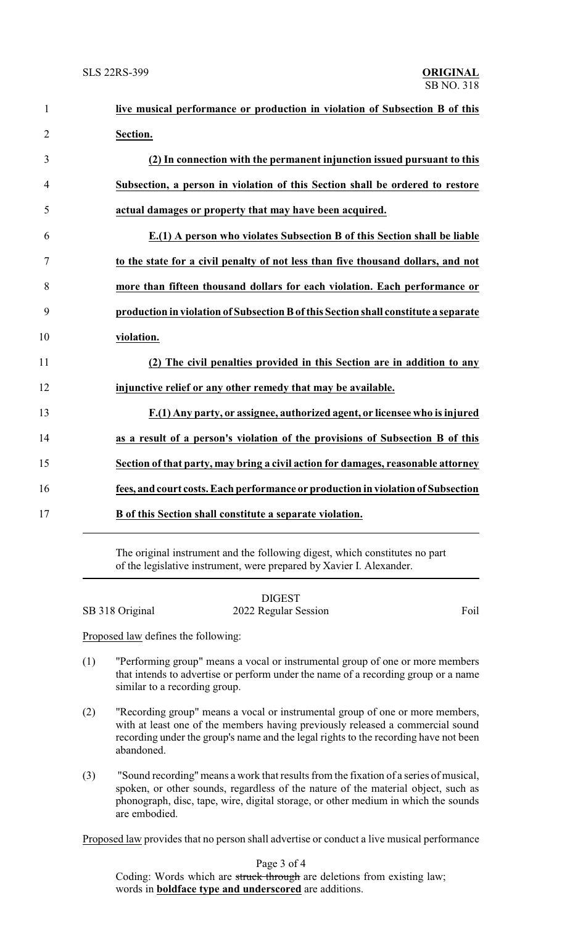| $\mathbf{1}$   | live musical performance or production in violation of Subsection B of this         |
|----------------|-------------------------------------------------------------------------------------|
| $\overline{2}$ | Section.                                                                            |
| 3              | (2) In connection with the permanent injunction issued pursuant to this             |
| $\overline{4}$ | Subsection, a person in violation of this Section shall be ordered to restore       |
| 5              | actual damages or property that may have been acquired.                             |
| 6              | E.(1) A person who violates Subsection B of this Section shall be liable            |
| $\tau$         | to the state for a civil penalty of not less than five thousand dollars, and not    |
| 8              | more than fifteen thousand dollars for each violation. Each performance or          |
| 9              | production in violation of Subsection B of this Section shall constitute a separate |
| 10             | violation.                                                                          |
| 11             | (2) The civil penalties provided in this Section are in addition to any             |
| 12             | injunctive relief or any other remedy that may be available.                        |
| 13             | F.(1) Any party, or assignee, authorized agent, or licensee who is injured          |
| 14             | as a result of a person's violation of the provisions of Subsection B of this       |
| 15             | Section of that party, may bring a civil action for damages, reasonable attorney    |
| 16             | fees, and court costs. Each performance or production in violation of Subsection    |
| 17             | B of this Section shall constitute a separate violation.                            |

The original instrument and the following digest, which constitutes no part of the legislative instrument, were prepared by Xavier I. Alexander.

|                 | <b>DIGEST</b>        |      |
|-----------------|----------------------|------|
| SB 318 Original | 2022 Regular Session | Foil |

Proposed law defines the following:

- (1) "Performing group" means a vocal or instrumental group of one or more members that intends to advertise or perform under the name of a recording group or a name similar to a recording group.
- (2) "Recording group" means a vocal or instrumental group of one or more members, with at least one of the members having previously released a commercial sound recording under the group's name and the legal rights to the recording have not been abandoned.
- (3) "Sound recording" means a work that results from the fixation of a series of musical, spoken, or other sounds, regardless of the nature of the material object, such as phonograph, disc, tape, wire, digital storage, or other medium in which the sounds are embodied.

Proposed law provides that no person shall advertise or conduct a live musical performance

Page 3 of 4

Coding: Words which are struck through are deletions from existing law; words in **boldface type and underscored** are additions.